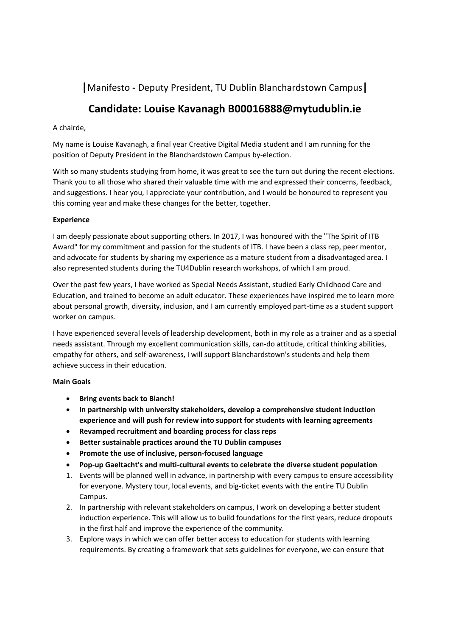## **|**Manifesto **‐** Deputy President, TU Dublin Blanchardstown Campus**|**

# **Candidate: Louise Kavanagh B00016888@mytudublin.ie**

### A chairde,

My name is Louise Kavanagh, a final year Creative Digital Media student and I am running for the position of Deputy President in the Blanchardstown Campus by‐election.

With so many students studying from home, it was great to see the turn out during the recent elections. Thank you to all those who shared their valuable time with me and expressed their concerns, feedback, and suggestions. I hear you, I appreciate your contribution, and I would be honoured to represent you this coming year and make these changes for the better, together.

#### **Experience**

I am deeply passionate about supporting others. In 2017, I was honoured with the "The Spirit of ITB Award" for my commitment and passion for the students of ITB. I have been a class rep, peer mentor, and advocate for students by sharing my experience as a mature student from a disadvantaged area. I also represented students during the TU4Dublin research workshops, of which I am proud.

Over the past few years, I have worked as Special Needs Assistant, studied Early Childhood Care and Education, and trained to become an adult educator. These experiences have inspired me to learn more about personal growth, diversity, inclusion, and I am currently employed part-time as a student support worker on campus.

I have experienced several levels of leadership development, both in my role as a trainer and as a special needs assistant. Through my excellent communication skills, can-do attitude, critical thinking abilities, empathy for others, and self-awareness, I will support Blanchardstown's students and help them achieve success in their education.

### **Main Goals**

- **Bring events back to Blanch!**
- **In partnership with university stakeholders, develop a comprehensive student induction experience and will push for review into support for students with learning agreements**
- **Revamped recruitment and boarding process for class reps**
- **Better sustainable practices around the TU Dublin campuses**
- **Promote the use of inclusive, person‐focused language**
- **Pop‐up Gaeltacht's and multi‐cultural events to celebrate the diverse student population**
- 1. Events will be planned well in advance, in partnership with every campus to ensure accessibility for everyone. Mystery tour, local events, and big-ticket events with the entire TU Dublin Campus.
- 2. In partnership with relevant stakeholders on campus, I work on developing a better student induction experience. This will allow us to build foundations for the first years, reduce dropouts in the first half and improve the experience of the community.
- 3. Explore ways in which we can offer better access to education for students with learning requirements. By creating a framework that sets guidelines for everyone, we can ensure that